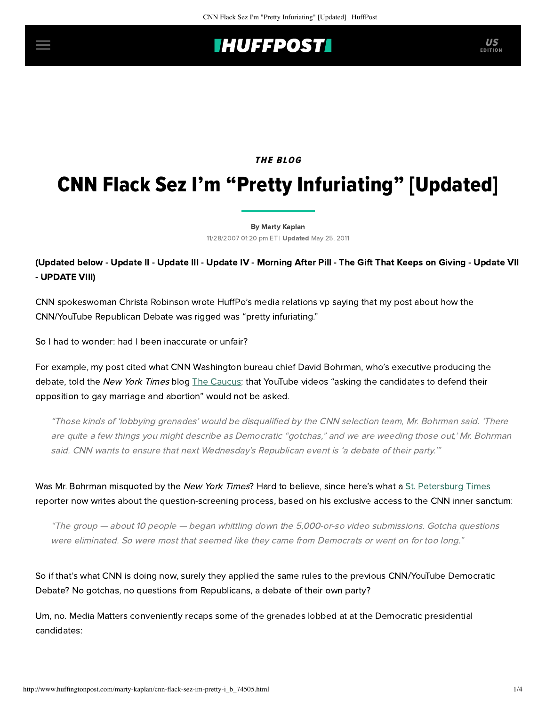## **IHUFFPOSTI** US

### THE BLOG

# CNN Flack Sez I'm "Pretty Infuriating" [Updated]

[By Marty Kaplan](http://www.huffingtonpost.com/author/marty-kaplan)

11/28/2007 01:20 pm ET | Updated May 25, 2011

(Updated below - Update II - Update III - Update IV - Morning After Pill - The Gift That Keeps on Giving - Update VII - UPDATE VIII)

CNN spokeswoman Christa Robinson wrote HuffPo's media relations vp saying that [my post](http://www.huffingtonpost.com/marty-kaplan/the-cnnrubetube-debate_b_74003.html) about how the CNN/YouTube Republican Debate was rigged was "pretty infuriating."

So I had to wonder: had I been inaccurate or unfair?

For example, my post cited what CNN Washington bureau chief David Bohrman, who's executive producing the debate, told the New York Times blog [The Caucus:](http://thecaucus.blogs.nytimes.com/2007/11/21/sneak-peek-at-cnnyoutube-debate-videos/) that YouTube videos "asking the candidates to defend their opposition to gay marriage and abortion" would not be asked.

"Those kinds of 'lobbying grenades' would be disqualified by the CNN selection team, Mr. Bohrman said. 'There are quite a few things you might describe as Democratic "gotchas," and we are weeding those out,' Mr. Bohrman said. CNN wants to ensure that next Wednesday's Republican event is 'a debate of their party.'"

WasMr. Bohrman misquoted by the New York Times? Hard to believe, since here's what a [St. Petersburg Times](http://www.sptimes.com/2007/11/28/State/Peek_inside_CNN_s_inn.shtml) reporter now writes about the question-screening process, based on his exclusive access to the CNN inner sanctum:

"The group — about <sup>10</sup> people — began whittling down the 5,000-or-so video submissions. Gotcha questions were eliminated. So were most that seemed like they came from Democrats or went on for too long."

So if that's what CNN is doing now, surely they applied the same rules to the previous CNN/YouTube Democratic Debate? No gotchas, no questions from Republicans, a debate of their own party?

Um, no. [Media Matters](http://mediamatters.org/items/200711270007?f=h_top) conveniently recaps some of the grenades lobbed at at the Democratic presidential candidates: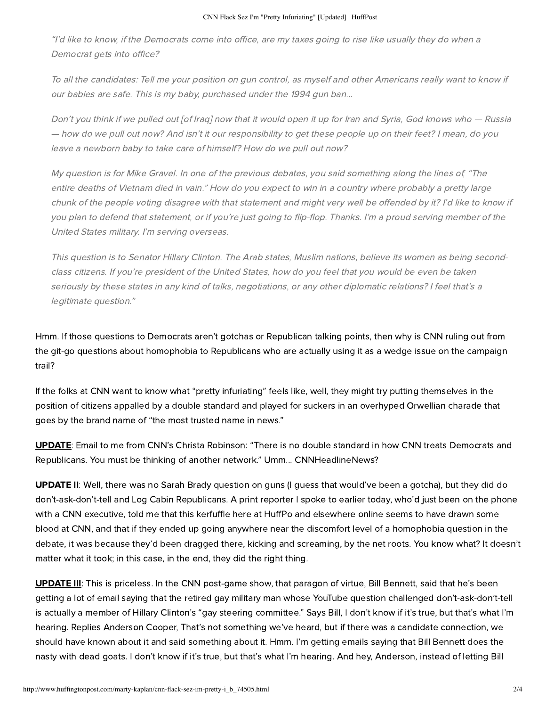"I'd like to know, if the Democrats come into office, are my taxes going to rise like usually they do when a Democrat gets into office?

To all the candidates: Tell me your position on gun control, as myself and other Americans really want to know if our babies are safe. This is my baby, purchased under the 1994 gun ban...

Don't you think if we pulled out [of Iraq] now that it would open it up for Iran and Syria, God knows who — Russia — how do we pull out now? And isn't it our responsibility to get these people up on their feet? I mean, do you leave a newborn baby to take care of himself? How do we pull out now?

My question is for Mike Gravel. In one of the previous debates, you said something along the lines of, "The entire deaths of Vietnam died in vain." How do you expect to win in a country where probably a pretty large chunk of the people voting disagree with that statement and might very well be offended by it? I'd like to know if you plan to defend that statement, or if you're just going to flip-flop. Thanks. I'm a proud serving member of the United States military. I'm serving overseas.

This question is to Senator Hillary Clinton. The Arab states, Muslim nations, believe its women as being secondclass citizens. If you're president of the United States, how do you feel that you would be even be taken seriously by these states in any kind of talks, negotiations, or any other diplomatic relations? I feel that's a legitimate question."

Hmm. If those questions to Democrats aren't gotchas or Republican talking points, then why is CNN ruling out from the git-go questions about homophobia to Republicans who are actually using it as a wedge issue on the campaign trail?

If the folks at CNN want to know what "pretty infuriating" feels like, well, they might try putting themselves in the position of citizens appalled by a double standard and played for suckers in an overhyped Orwellian charade that goes by the brand name of "the most trusted name in news."

UPDATE: Email to me from CNN's Christa Robinson: "There is no double standard in how CNN treats Democrats and Republicans. You must be thinking of another network." Umm... CNNHeadlineNews?

UPDATE II: Well, there was no Sarah Brady question on guns (I guess that would've been a gotcha), but they did do don't-ask-don't-tell and Log Cabin Republicans. A print reporter I spoke to earlier today, who'd just been on the phone with a CNN executive, told me that this kerfuffle here at HuffPo and elsewhere online seems to have drawn some blood at CNN, and that if they ended up going anywhere near the discomfort level of a homophobia question in the debate, it was because they'd been dragged there, kicking and screaming, by the net roots. You know what? It doesn't matter what it took; in this case, in the end, they did the right thing.

UPDATE III: This is priceless. In the CNN post-game show, that paragon of virtue, Bill Bennett, said that he's been getting a lot of email saying that the retired gay military man whose YouTube question challenged don't-ask-don't-tell is actually a member of Hillary Clinton's "gay steering committee." Says Bill, I don't know if it's true, but that's what I'm hearing. Replies Anderson Cooper, That's not something we've heard, but if there was a candidate connection, we should have known about it and said something about it. Hmm. I'm getting emails saying that Bill Bennett does the nasty with dead goats. I don't know if it's true, but that's what I'm hearing. And hey, Anderson, instead of letting Bill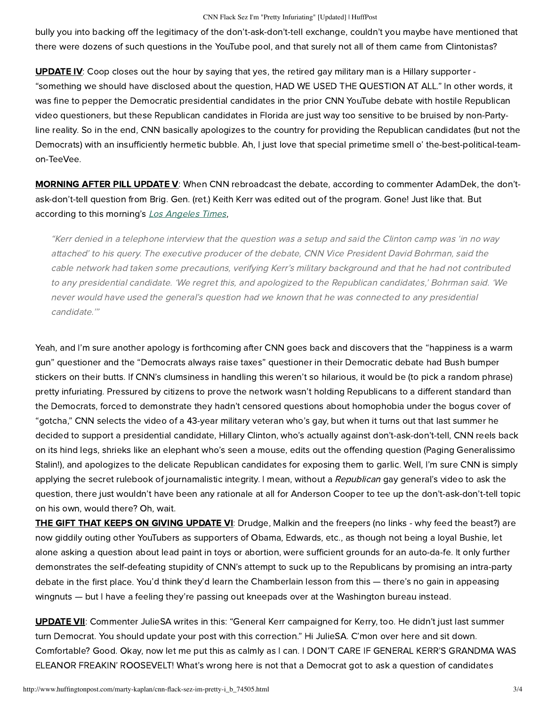#### CNN Flack Sez I'm "Pretty Infuriating" [Updated] | HuffPost

bully you into backing off the legitimacy of the don't-ask-don't-tell exchange, couldn't you maybe have mentioned that there were dozens of such questions in the YouTube pool, and that surely not all of them came from Clintonistas?

UPDATE IV: Coop closes out the hour by saying that yes, the retired gay military man is a Hillary supporter -"something we should have disclosed about the question, HAD WE USED THE QUESTION AT ALL." In other words, it was fine to pepper the Democratic presidential candidates in the prior CNN YouTube debate with hostile Republican video questioners, but these Republican candidates in Florida are just way too sensitive to be bruised by non-Partyline reality. So in the end, CNN basically apologizes to the country for providing the Republican candidates (but not the Democrats) with an insufficiently hermetic bubble. Ah, I just love that special primetime smell o' the-best-political-teamon-TeeVee.

MORNING AFTER PILL UPDATE V: When CNN rebroadcast the debate, according to commenter AdamDek, the don'task-don't-tell question from Brig. Gen. (ret.) Keith Kerr was edited out of the program. Gone! Just like that. But according to this morning's **[Los Angeles Times](http://www.latimes.com/news/politics/la-na-general29nov29,0,7496546.story?coll=la-home-center)**,

"Kerr denied in a telephone interview that the question was a setup and said the Clinton camp was 'in no way attached' to his query. The executive producer of the debate, CNN Vice President David Bohrman, said the cable network had taken some precautions, verifying Kerr's military background and that he had not contributed to any presidential candidate. 'We regret this, and apologized to the Republican candidates,' Bohrman said. 'We never would have used the general's question had we known that he was connected to any presidential candidate.'"

Yeah, and I'm sure another apology is forthcoming after CNN goes back and discovers that the "happiness is a warm gun" questioner and the "Democrats always raise taxes" questioner in their Democratic debate had Bush bumper stickers on their butts. If CNN's clumsiness in handling this weren't so hilarious, it would be (to pick a random phrase) pretty infuriating. Pressured by citizens to prove the network wasn't holding Republicans to a different standard than the Democrats, forced to demonstrate they hadn't censored questions about homophobia under the bogus cover of "gotcha," CNN selects the video of a 43-year military veteran who's gay, but when it turns out that last summer he decided to support a presidential candidate, Hillary Clinton, who's actually against don't-ask-don't-tell, CNN reels back on its hind legs, shrieks like an elephant who's seen a mouse, edits out the offending question (Paging Generalissimo Stalin!), and apologizes to the delicate Republican candidates for exposing them to garlic. Well, I'm sure CNN is simply applying the secret rulebook of journamalistic integrity. I mean, without a Republican gay general's video to ask the question, there just wouldn't have been any rationale at all for Anderson Cooper to tee up the don't-ask-don't-tell topic on his own, would there? Oh, wait.

THE GIFT THAT KEEPS ON GIVING UPDATE VI: Drudge, Malkin and the freepers (no links - why feed the beast?) are now giddily outing other YouTubers as supporters of Obama, Edwards, etc., as though not being a loyal Bushie, let alone asking a question about lead paint in toys or abortion, were sufficient grounds for an auto-da-fe. It only further demonstrates the self-defeating stupidity of CNN's attempt to suck up to the Republicans by promising an intra-party debate in the first place. You'd think they'd learn the Chamberlain lesson from this — there's no gain in appeasing wingnuts — but I have a feeling they're passing out kneepads over at the Washington bureau instead.

UPDATE VII: Commenter JulieSA writes in this: "General Kerr campaigned for Kerry, too. He didn't just last summer turn Democrat. You should update your post with this correction." Hi JulieSA. C'mon over here and sit down. Comfortable? Good. Okay, now let me put this as calmly as I can. I DON'T CARE IF GENERAL KERR'S GRANDMA WAS ELEANOR FREAKIN' ROOSEVELT! What's wrong here is not that a Democrat got to ask a question of candidates